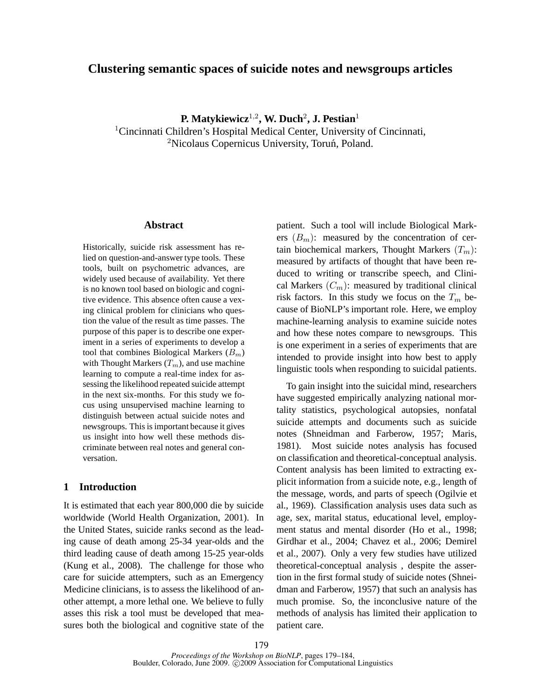## **Clustering semantic spaces of suicide notes and newsgroups articles**

**P. Matykiewicz**<sup>1</sup>,<sup>2</sup> **, W. Duch**<sup>2</sup> **, J. Pestian**<sup>1</sup> <sup>1</sup>Cincinnati Children's Hospital Medical Center, University of Cincinnati,  $2$ Nicolaus Copernicus University, Toruń, Poland.

#### **Abstract**

Historically, suicide risk assessment has relied on question-and-answer type tools. These tools, built on psychometric advances, are widely used because of availability. Yet there is no known tool based on biologic and cognitive evidence. This absence often cause a vexing clinical problem for clinicians who question the value of the result as time passes. The purpose of this paper is to describe one experiment in a series of experiments to develop a tool that combines Biological Markers  $(B_m)$ with Thought Markers  $(T_m)$ , and use machine learning to compute a real-time index for assessing the likelihood repeated suicide attempt in the next six-months. For this study we focus using unsupervised machine learning to distinguish between actual suicide notes and newsgroups. This is important because it gives us insight into how well these methods discriminate between real notes and general conversation.

### **1 Introduction**

It is estimated that each year 800,000 die by suicide worldwide (World Health Organization, 2001). In the United States, suicide ranks second as the leading cause of death among 25-34 year-olds and the third leading cause of death among 15-25 year-olds (Kung et al., 2008). The challenge for those who care for suicide attempters, such as an Emergency Medicine clinicians, is to assess the likelihood of another attempt, a more lethal one. We believe to fully asses this risk a tool must be developed that measures both the biological and cognitive state of the

patient. Such a tool will include Biological Markers  $(B_m)$ : measured by the concentration of certain biochemical markers, Thought Markers  $(T_m)$ : measured by artifacts of thought that have been reduced to writing or transcribe speech, and Clinical Markers  $(C_m)$ : measured by traditional clinical risk factors. In this study we focus on the  $T_m$  because of BioNLP's important role. Here, we employ machine-learning analysis to examine suicide notes and how these notes compare to newsgroups. This is one experiment in a series of experiments that are intended to provide insight into how best to apply linguistic tools when responding to suicidal patients.

To gain insight into the suicidal mind, researchers have suggested empirically analyzing national mortality statistics, psychological autopsies, nonfatal suicide attempts and documents such as suicide notes (Shneidman and Farberow, 1957; Maris, 1981). Most suicide notes analysis has focused on classification and theoretical-conceptual analysis. Content analysis has been limited to extracting explicit information from a suicide note, e.g., length of the message, words, and parts of speech (Ogilvie et al., 1969). Classification analysis uses data such as age, sex, marital status, educational level, employment status and mental disorder (Ho et al., 1998; Girdhar et al., 2004; Chavez et al., 2006; Demirel et al., 2007). Only a very few studies have utilized theoretical-conceptual analysis , despite the assertion in the first formal study of suicide notes (Shneidman and Farberow, 1957) that such an analysis has much promise. So, the inconclusive nature of the methods of analysis has limited their application to patient care.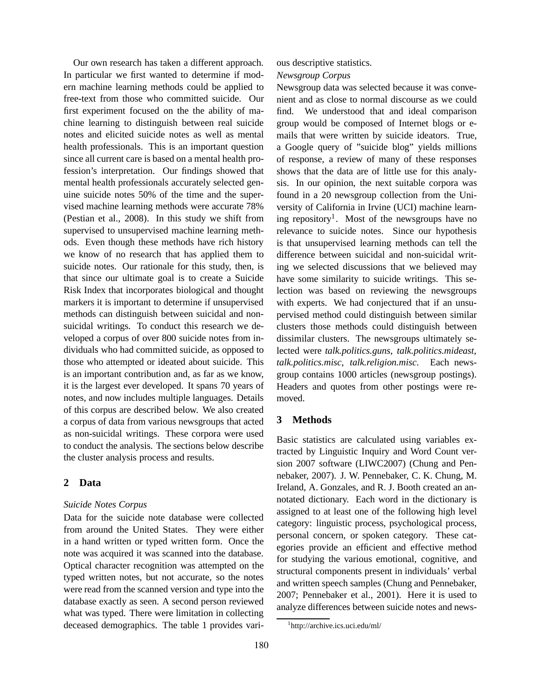Our own research has taken a different approach. In particular we first wanted to determine if modern machine learning methods could be applied to free-text from those who committed suicide. Our first experiment focused on the the ability of machine learning to distinguish between real suicide notes and elicited suicide notes as well as mental health professionals. This is an important question since all current care is based on a mental health profession's interpretation. Our findings showed that mental health professionals accurately selected genuine suicide notes 50% of the time and the supervised machine learning methods were accurate 78% (Pestian et al., 2008). In this study we shift from supervised to unsupervised machine learning methods. Even though these methods have rich history we know of no research that has applied them to suicide notes. Our rationale for this study, then, is that since our ultimate goal is to create a Suicide Risk Index that incorporates biological and thought markers it is important to determine if unsupervised methods can distinguish between suicidal and nonsuicidal writings. To conduct this research we developed a corpus of over 800 suicide notes from individuals who had committed suicide, as opposed to those who attempted or ideated about suicide. This is an important contribution and, as far as we know, it is the largest ever developed. It spans 70 years of notes, and now includes multiple languages. Details of this corpus are described below. We also created a corpus of data from various newsgroups that acted as non-suicidal writings. These corpora were used to conduct the analysis. The sections below describe the cluster analysis process and results.

# **2 Data**

## *Suicide Notes Corpus*

Data for the suicide note database were collected from around the United States. They were either in a hand written or typed written form. Once the note was acquired it was scanned into the database. Optical character recognition was attempted on the typed written notes, but not accurate, so the notes were read from the scanned version and type into the database exactly as seen. A second person reviewed what was typed. There were limitation in collecting deceased demographics. The table 1 provides vari-

## ous descriptive statistics.

### *Newsgroup Corpus*

Newsgroup data was selected because it was convenient and as close to normal discourse as we could find. We understood that and ideal comparison group would be composed of Internet blogs or emails that were written by suicide ideators. True, a Google query of "suicide blog" yields millions of response, a review of many of these responses shows that the data are of little use for this analysis. In our opinion, the next suitable corpora was found in a 20 newsgroup collection from the University of California in Irvine (UCI) machine learning repository<sup>1</sup>. Most of the newsgroups have no relevance to suicide notes. Since our hypothesis is that unsupervised learning methods can tell the difference between suicidal and non-suicidal writing we selected discussions that we believed may have some similarity to suicide writings. This selection was based on reviewing the newsgroups with experts. We had conjectured that if an unsupervised method could distinguish between similar clusters those methods could distinguish between dissimilar clusters. The newsgroups ultimately selected were *talk.politics.guns*, *talk.politics.mideast*, *talk.politics.misc*, *talk.religion.misc*. Each newsgroup contains 1000 articles (newsgroup postings). Headers and quotes from other postings were removed.

# **3 Methods**

Basic statistics are calculated using variables extracted by Linguistic Inquiry and Word Count version 2007 software (LIWC2007) (Chung and Pennebaker, 2007). J. W. Pennebaker, C. K. Chung, M. Ireland, A. Gonzales, and R. J. Booth created an annotated dictionary. Each word in the dictionary is assigned to at least one of the following high level category: linguistic process, psychological process, personal concern, or spoken category. These categories provide an efficient and effective method for studying the various emotional, cognitive, and structural components present in individuals' verbal and written speech samples (Chung and Pennebaker, 2007; Pennebaker et al., 2001). Here it is used to analyze differences between suicide notes and news-

<sup>1</sup> http://archive.ics.uci.edu/ml/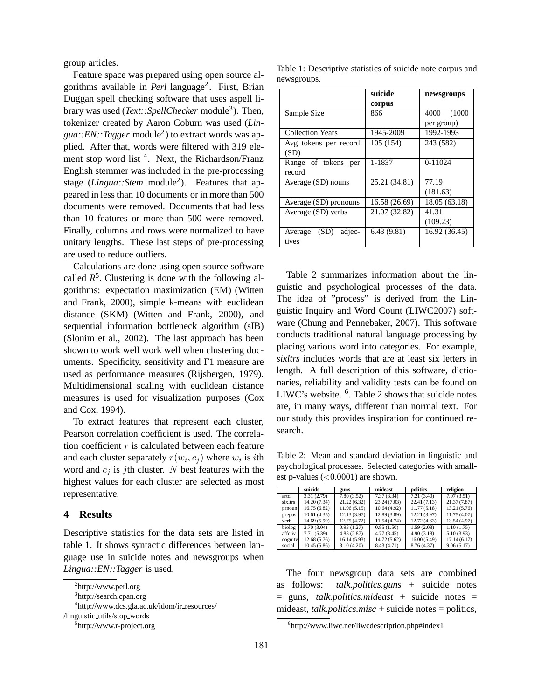group articles.

Feature space was prepared using open source algorithms available in *Perl* language<sup>2</sup>. First, Brian Duggan spell checking software that uses aspell library was used (*Text::SpellChecker* module<sup>3</sup>). Then, tokenizer created by Aaron Coburn was used (*Lingua::EN::Tagger* module<sup>2</sup> ) to extract words was applied. After that, words were filtered with 319 element stop word list<sup>4</sup>. Next, the Richardson/Franz English stemmer was included in the pre-processing stage (*Lingua::Stem* module<sup>2</sup>). Features that appeared in less than 10 documents or in more than 500 documents were removed. Documents that had less than 10 features or more than 500 were removed. Finally, columns and rows were normalized to have unitary lengths. These last steps of pre-processing are used to reduce outliers.

Calculations are done using open source software called  $R^5$ . Clustering is done with the following algorithms: expectation maximization (EM) (Witten and Frank, 2000), simple k-means with euclidean distance (SKM) (Witten and Frank, 2000), and sequential information bottleneck algorithm (sIB) (Slonim et al., 2002). The last approach has been shown to work well work well when clustering documents. Specificity, sensitivity and F1 measure are used as performance measures (Rijsbergen, 1979). Multidimensional scaling with euclidean distance measures is used for visualization purposes (Cox and Cox, 1994).

To extract features that represent each cluster, Pearson correlation coefficient is used. The correlation coefficient  $r$  is calculated between each feature and each cluster separately  $r(w_i, c_j)$  where  $w_i$  is *i*th word and  $c_j$  is jth cluster. N best features with the highest values for each cluster are selected as most representative.

#### **4 Results**

Descriptive statistics for the data sets are listed in table 1. It shows syntactic differences between language use in suicide notes and newsgroups when *Lingua::EN::Tagger* is used.

/linguistic utils/stop words

Table 1: Descriptive statistics of suicide note corpus and newsgroups.

|                           | suicide       | newsgroups     |  |  |
|---------------------------|---------------|----------------|--|--|
|                           | corpus        |                |  |  |
| Sample Size               | 866           | 4000<br>(1000) |  |  |
|                           |               | per group)     |  |  |
| <b>Collection Years</b>   | 1945-2009     | 1992-1993      |  |  |
| Avg tokens per record     | 105 (154)     | 243 (582)      |  |  |
| (SD)                      |               |                |  |  |
| Range of tokens per       | 1-1837        | $0-11024$      |  |  |
| record                    |               |                |  |  |
| Average (SD) nouns        | 25.21 (34.81) | 77.19          |  |  |
|                           |               | (181.63)       |  |  |
| Average (SD) pronouns     | 16.58 (26.69) | 18.05 (63.18)  |  |  |
| Average (SD) verbs        | 21.07 (32.82) | 41.31          |  |  |
|                           |               | (109.23)       |  |  |
| (SD)<br>adjec-<br>Average | 6.43(9.81)    | 16.92 (36.45)  |  |  |
| tives                     |               |                |  |  |

Table 2 summarizes information about the linguistic and psychological processes of the data. The idea of "process" is derived from the Linguistic Inquiry and Word Count (LIWC2007) software (Chung and Pennebaker, 2007). This software conducts traditional natural language processing by placing various word into categories. For example, *sixltrs* includes words that are at least six letters in length. A full description of this software, dictionaries, reliability and validity tests can be found on LIWC's website. <sup>6</sup>. Table 2 shows that suicide notes are, in many ways, different than normal text. For our study this provides inspiration for continued research.

Table 2: Mean and standard deviation in linguistic and psychological processes. Selected categories with smallest p-values  $(<0.0001$ ) are shown.

|         | suicide      | guns        | mideast      | politics     | religion     |
|---------|--------------|-------------|--------------|--------------|--------------|
| artcl   | 3.31(2.79)   | 7.80(3.52)  | 7.37(3.34)   | 7.21(3.40)   | 7.07(3.51)   |
| sixltrs | 14.20 (7.34) | 21.22(6.32) | 23.24 (7.03) | 22.41 (7.13) | 21.37 (7.87) |
| prnoun  | 16.75(6.82)  | 11.96(5.15) | 10.64(4.92)  | 11.77(5.18)  | 13.21(5.76)  |
| prepos  | 10.61(4.35)  | 12.13(3.97) | 12.89(3.89)  | 12.21(3.97)  | 11.75(4.07)  |
| verb    | 14.69 (5.99) | 12.75(4.72) | 11.54 (4.74) | 12.72(4.63)  | 13.54 (4.97) |
| biolog  | 2.70(3.04)   | 0.93(1.27)  | 0.85(1.50)   | 1.59(2.08)   | 1.10(1.75)   |
| affctiv | 7.71 (5.39)  | 4.83(2.87)  | 4.77(3.45)   | 4.90(3.18)   | 5.10(3.93)   |
| cognity | 12.68(5.76)  | 16.14(5.93) | 14.72 (5.62) | 16.00(5.49)  | 17.14(6.17)  |
| social  | 10.45(5.86)  | 8.10 (4.20) | 8.43 (4.71)  | 8.76(4.37)   | 9.06(5.17)   |

The four newsgroup data sets are combined as follows: *talk.politics.guns* + suicide notes = guns, *talk.politics.mideast* + suicide notes = mideast, *talk.politics.misc* + suicide notes = politics,

<sup>2</sup> http://www.perl.org

<sup>&</sup>lt;sup>3</sup>http://search.cpan.org

<sup>&</sup>lt;sup>4</sup>http://www.dcs.gla.ac.uk/idom/ir\_resources/

<sup>&</sup>lt;sup>5</sup>http://www.r-project.org

 $<sup>6</sup>$ http://www.liwc.net/liwcdescription.php#index1</sup>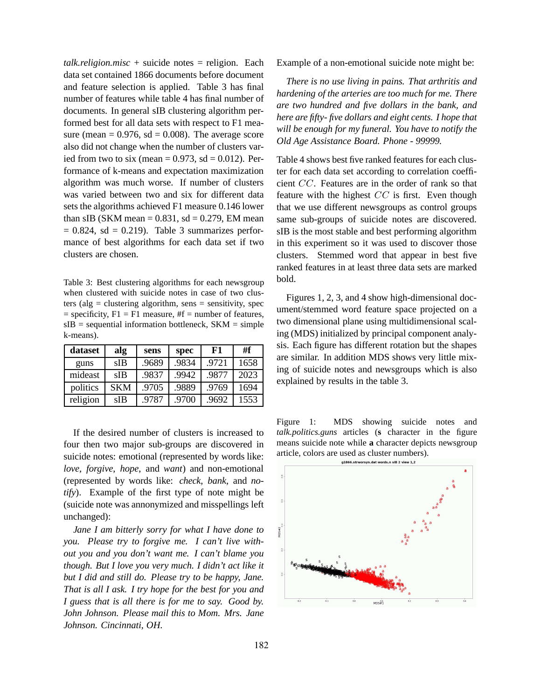$talk. religion.misc + suicide notes = religion. Each$ data set contained 1866 documents before document and feature selection is applied. Table 3 has final number of features while table 4 has final number of documents. In general sIB clustering algorithm performed best for all data sets with respect to F1 measure (mean  $= 0.976$ , sd  $= 0.008$ ). The average score also did not change when the number of clusters varied from two to six (mean  $= 0.973$ , sd  $= 0.012$ ). Performance of k-means and expectation maximization algorithm was much worse. If number of clusters was varied between two and six for different data sets the algorithms achieved F1 measure 0.146 lower than sIB (SKM mean  $= 0.831$ , sd  $= 0.279$ , EM mean  $= 0.824$ , sd  $= 0.219$ . Table 3 summarizes performance of best algorithms for each data set if two clusters are chosen.

Table 3: Best clustering algorithms for each newsgroup when clustered with suicide notes in case of two clusters (alg  $=$  clustering algorithm, sens  $=$  sensitivity, spec  $=$  specificity,  $F1 = F1$  measure,  $#f =$  number of features,  $sIB = sequential information bottleneck, SKM = simple$ k-means).

| dataset  | alg        | sens  | spec  | F1    | #f   |
|----------|------------|-------|-------|-------|------|
| guns     | sIB        | .9689 | .9834 | .9721 | 1658 |
| mideast  | sIB        | .9837 | .9942 | .9877 | 2023 |
| politics | <b>SKM</b> | .9705 | .9889 | .9769 | 1694 |
| religion | sIB        | .9787 | .9700 | .9692 | 1553 |

If the desired number of clusters is increased to four then two major sub-groups are discovered in suicide notes: emotional (represented by words like: *love*, *forgive*, *hope*, and *want*) and non-emotional (represented by words like: *check*, *bank*, and *notify*). Example of the first type of note might be (suicide note was annonymized and misspellings left unchanged):

*Jane I am bitterly sorry for what I have done to you. Please try to forgive me. I can't live without you and you don't want me. I can't blame you though. But I love you very much. I didn't act like it but I did and still do. Please try to be happy, Jane. That is all I ask. I try hope for the best for you and I guess that is all there is for me to say. Good by. John Johnson. Please mail this to Mom. Mrs. Jane Johnson. Cincinnati, OH.*

Example of a non-emotional suicide note might be:

*There is no use living in pains. That arthritis and hardening of the arteries are too much for me. There are two hundred and five dollars in the bank, and here are fifty- five dollars and eight cents. I hope that will be enough for my funeral. You have to notify the Old Age Assistance Board. Phone - 99999.*

Table 4 shows best five ranked features for each cluster for each data set according to correlation coefficient CC. Features are in the order of rank so that feature with the highest  $CC$  is first. Even though that we use different newsgroups as control groups same sub-groups of suicide notes are discovered. sIB is the most stable and best performing algorithm in this experiment so it was used to discover those clusters. Stemmed word that appear in best five ranked features in at least three data sets are marked bold.

Figures 1, 2, 3, and 4 show high-dimensional document/stemmed word feature space projected on a two dimensional plane using multidimensional scaling (MDS) initialized by principal component analysis. Each figure has different rotation but the shapes are similar. In addition MDS shows very little mixing of suicide notes and newsgroups which is also explained by results in the table 3.

Figure 1: MDS showing suicide notes and *talk.politics.guns* articles (**s** character in the figure means suicide note while **a** character depicts newsgroup article, colors are used as cluster numbers).<br>  $41866.5$ tworsyn.dat words.n slB 2 view 1.2

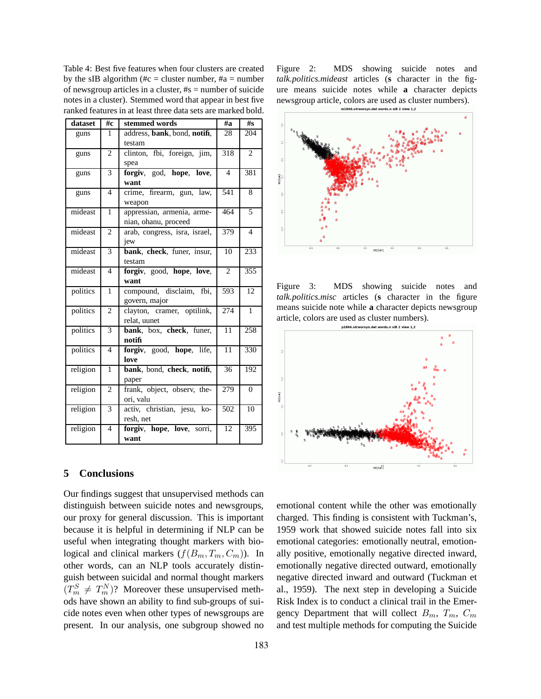Table 4: Best five features when four clusters are created by the sIB algorithm (#c = cluster number, #a = number of newsgroup articles in a cluster, #s = number of suicide notes in a cluster). Stemmed word that appear in best five ranked features in at least three data sets are marked bold.

| dataset  | #c             | stemmed words                 | #a              | #s             |
|----------|----------------|-------------------------------|-----------------|----------------|
| guns     | 1              | address, bank, bond, notifi,  | 28              | 204            |
|          |                | testam                        |                 |                |
| guns     | $\overline{c}$ | clinton, fbi, foreign, jim,   | 318             | $\overline{c}$ |
|          |                | spea                          |                 |                |
| guns     | 3              | forgiv, god, hope, love,      | $\overline{4}$  | 381            |
|          |                | want                          |                 |                |
| guns     | $\overline{4}$ | crime, firearm, gun, law,     | 541             | 8              |
|          |                | weapon                        |                 |                |
| mideast  | $\mathbf{1}$   | appressian, armenia, arme-    | 464             | $\overline{5}$ |
|          |                | nian, ohanu, proceed          |                 |                |
| mideast  | $\overline{c}$ | arab, congress, isra, israel, | 379             | $\overline{4}$ |
|          |                | jew                           |                 |                |
| mideast  | 3              | bank, check, funer, insur,    | 10              | 233            |
|          |                | testam                        |                 |                |
| mideast  | $\overline{4}$ | forgiv, good, hope, love,     | $\overline{c}$  | 355            |
|          |                | want                          |                 |                |
| politics | 1              | compound, disclaim,<br>fbi,   | 593             | 12             |
|          |                | govern, major                 |                 |                |
| politics | 2              | clayton, cramer, optilink,    | 274             | 1              |
|          |                | relat, uunet                  |                 |                |
| politics | 3              | bank, box, check, funer,      | 11              | 258            |
|          |                | notifi                        |                 |                |
| politics | $\overline{4}$ | forgiv, good, hope, life,     | 11              | 330            |
|          |                | love                          |                 |                |
| religion | $\mathbf{1}$   | bank, bond, check, notifi,    | $\overline{3}6$ | 192            |
|          |                | paper                         |                 |                |
| religion | $\overline{c}$ | frank, object, observ, the-   | 279             | $\overline{0}$ |
|          |                | ori. valu                     |                 |                |
| religion | 3              | activ, christian, jesu, ko-   | 502             | 10             |
|          |                | resh, net                     |                 |                |
| religion | $\overline{4}$ | forgiv, hope, love, sorri,    | 12              | 395            |
|          |                | want                          |                 |                |

## **5 Conclusions**

Our findings suggest that unsupervised methods can distinguish between suicide notes and newsgroups, our proxy for general discussion. This is important because it is helpful in determining if NLP can be useful when integrating thought markers with biological and clinical markers  $(f(B_m, T_m, C_m))$ . In other words, can an NLP tools accurately distinguish between suicidal and normal thought markers  $(T_m^S \neq T_m^N)$ ? Moreover these unsupervised methods have shown an ability to find sub-groups of suicide notes even when other types of newsgroups are present. In our analysis, one subgroup showed no

183

Figure 2: MDS showing suicide notes and *talk.politics.mideast* articles (**s** character in the figure means suicide notes while **a** character depicts newsgroup article, colors are used as cluster numbers).



Figure 3: MDS showing suicide notes and *talk.politics.misc* articles (**s** character in the figure means suicide note while **a** character depicts newsgroup article, colors are used as cluster numbers).<br> $p1866.5$ tworsyn.dat words.n silB 2 view 1.2



emotional content while the other was emotionally charged. This finding is consistent with Tuckman's, 1959 work that showed suicide notes fall into six emotional categories: emotionally neutral, emotionally positive, emotionally negative directed inward, emotionally negative directed outward, emotionally negative directed inward and outward (Tuckman et al., 1959). The next step in developing a Suicide Risk Index is to conduct a clinical trail in the Emergency Department that will collect  $B_m$ ,  $T_m$ ,  $C_m$ and test multiple methods for computing the Suicide